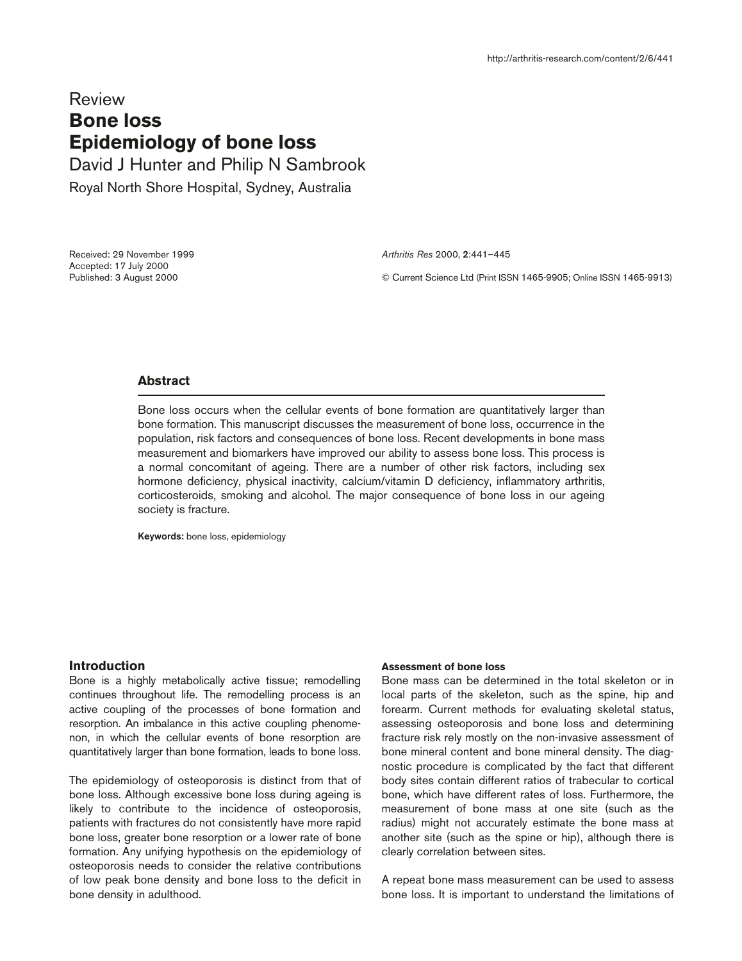# **Review Bone loss Epidemiology of bone loss** David J Hunter and Philip N Sambrook

Royal North Shore Hospital, Sydney, Australia

Received: 29 November 1999 Accepted: 17 July 2000 Published: 3 August 2000

*Arthritis Res* 2000, **2**:441–445

© Current Science Ltd (Print ISSN 1465-9905; Online ISSN 1465-9913)

# **Abstract**

Bone loss occurs when the cellular events of bone formation are quantitatively larger than bone formation. This manuscript discusses the measurement of bone loss, occurrence in the population, risk factors and consequences of bone loss. Recent developments in bone mass measurement and biomarkers have improved our ability to assess bone loss. This process is a normal concomitant of ageing. There are a number of other risk factors, including sex hormone deficiency, physical inactivity, calcium/vitamin D deficiency, inflammatory arthritis, corticosteroids, smoking and alcohol. The major consequence of bone loss in our ageing society is fracture.

**Keywords:** bone loss, epidemiology

## **Introduction**

Bone is a highly metabolically active tissue; remodelling continues throughout life. The remodelling process is an active coupling of the processes of bone formation and resorption. An imbalance in this active coupling phenomenon, in which the cellular events of bone resorption are quantitatively larger than bone formation, leads to bone loss.

The epidemiology of osteoporosis is distinct from that of bone loss. Although excessive bone loss during ageing is likely to contribute to the incidence of osteoporosis, patients with fractures do not consistently have more rapid bone loss, greater bone resorption or a lower rate of bone formation. Any unifying hypothesis on the epidemiology of osteoporosis needs to consider the relative contributions of low peak bone density and bone loss to the deficit in bone density in adulthood.

#### **Assessment of bone loss**

Bone mass can be determined in the total skeleton or in local parts of the skeleton, such as the spine, hip and forearm. Current methods for evaluating skeletal status, assessing osteoporosis and bone loss and determining fracture risk rely mostly on the non-invasive assessment of bone mineral content and bone mineral density. The diagnostic procedure is complicated by the fact that different body sites contain different ratios of trabecular to cortical bone, which have different rates of loss. Furthermore, the measurement of bone mass at one site (such as the radius) might not accurately estimate the bone mass at another site (such as the spine or hip), although there is clearly correlation between sites.

A repeat bone mass measurement can be used to assess bone loss. It is important to understand the limitations of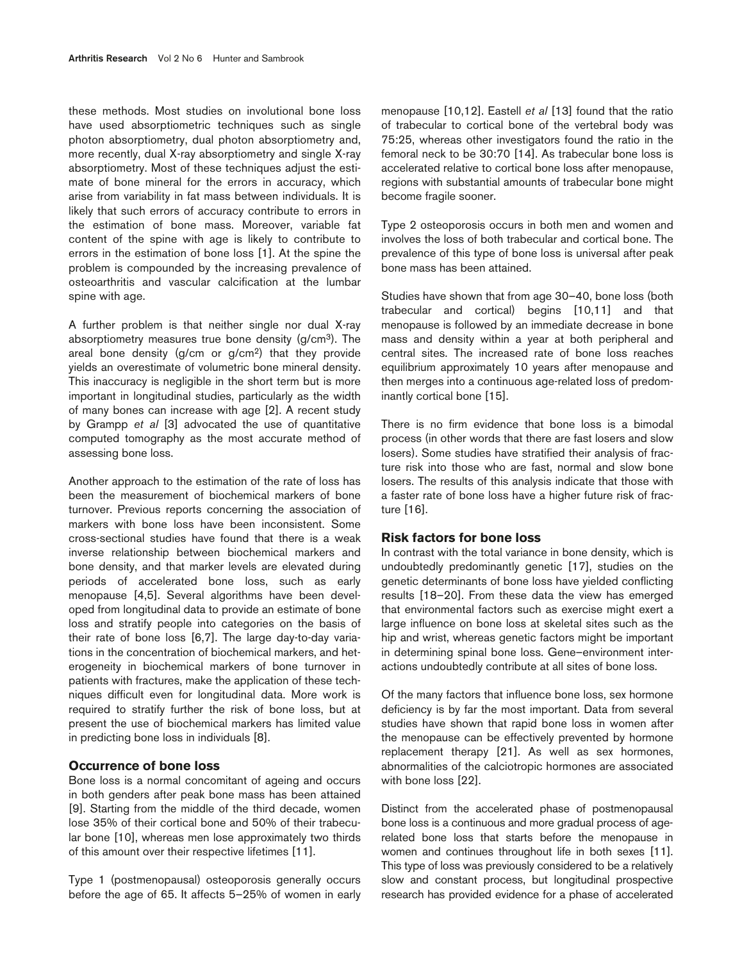these methods. Most studies on involutional bone loss have used absorptiometric techniques such as single photon absorptiometry, dual photon absorptiometry and, more recently, dual X-ray absorptiometry and single X-ray absorptiometry. Most of these techniques adjust the estimate of bone mineral for the errors in accuracy, which arise from variability in fat mass between individuals. It is likely that such errors of accuracy contribute to errors in the estimation of bone mass. Moreover, variable fat content of the spine with age is likely to contribute to errors in the estimation of bone loss [1]. At the spine the problem is compounded by the increasing prevalence of osteoarthritis and vascular calcification at the lumbar spine with age.

A further problem is that neither single nor dual X-ray absorptiometry measures true bone density (g/cm3). The areal bone density (g/cm or g/cm2) that they provide yields an overestimate of volumetric bone mineral density. This inaccuracy is negligible in the short term but is more important in longitudinal studies, particularly as the width of many bones can increase with age [2]. A recent study by Grampp *et al* [3] advocated the use of quantitative computed tomography as the most accurate method of assessing bone loss.

Another approach to the estimation of the rate of loss has been the measurement of biochemical markers of bone turnover. Previous reports concerning the association of markers with bone loss have been inconsistent. Some cross-sectional studies have found that there is a weak inverse relationship between biochemical markers and bone density, and that marker levels are elevated during periods of accelerated bone loss, such as early menopause [4,5]. Several algorithms have been developed from longitudinal data to provide an estimate of bone loss and stratify people into categories on the basis of their rate of bone loss [6,7]. The large day-to-day variations in the concentration of biochemical markers, and heterogeneity in biochemical markers of bone turnover in patients with fractures, make the application of these techniques difficult even for longitudinal data. More work is required to stratify further the risk of bone loss, but at present the use of biochemical markers has limited value in predicting bone loss in individuals [8].

## **Occurrence of bone loss**

Bone loss is a normal concomitant of ageing and occurs in both genders after peak bone mass has been attained [9]. Starting from the middle of the third decade, women lose 35% of their cortical bone and 50% of their trabecular bone [10], whereas men lose approximately two thirds of this amount over their respective lifetimes [11].

Type 1 (postmenopausal) osteoporosis generally occurs before the age of 65. It affects 5–25% of women in early menopause [10,12]. Eastell *et al* [13] found that the ratio of trabecular to cortical bone of the vertebral body was 75:25, whereas other investigators found the ratio in the femoral neck to be 30:70 [14]. As trabecular bone loss is accelerated relative to cortical bone loss after menopause, regions with substantial amounts of trabecular bone might become fragile sooner.

Type 2 osteoporosis occurs in both men and women and involves the loss of both trabecular and cortical bone. The prevalence of this type of bone loss is universal after peak bone mass has been attained.

Studies have shown that from age 30–40, bone loss (both trabecular and cortical) begins [10,11] and that menopause is followed by an immediate decrease in bone mass and density within a year at both peripheral and central sites. The increased rate of bone loss reaches equilibrium approximately 10 years after menopause and then merges into a continuous age-related loss of predominantly cortical bone [15].

There is no firm evidence that bone loss is a bimodal process (in other words that there are fast losers and slow losers). Some studies have stratified their analysis of fracture risk into those who are fast, normal and slow bone losers. The results of this analysis indicate that those with a faster rate of bone loss have a higher future risk of fracture [16].

## **Risk factors for bone loss**

In contrast with the total variance in bone density, which is undoubtedly predominantly genetic [17], studies on the genetic determinants of bone loss have yielded conflicting results [18–20]. From these data the view has emerged that environmental factors such as exercise might exert a large influence on bone loss at skeletal sites such as the hip and wrist, whereas genetic factors might be important in determining spinal bone loss. Gene–environment interactions undoubtedly contribute at all sites of bone loss.

Of the many factors that influence bone loss, sex hormone deficiency is by far the most important. Data from several studies have shown that rapid bone loss in women after the menopause can be effectively prevented by hormone replacement therapy [21]. As well as sex hormones, abnormalities of the calciotropic hormones are associated with bone loss [22].

Distinct from the accelerated phase of postmenopausal bone loss is a continuous and more gradual process of agerelated bone loss that starts before the menopause in women and continues throughout life in both sexes [11]. This type of loss was previously considered to be a relatively slow and constant process, but longitudinal prospective research has provided evidence for a phase of accelerated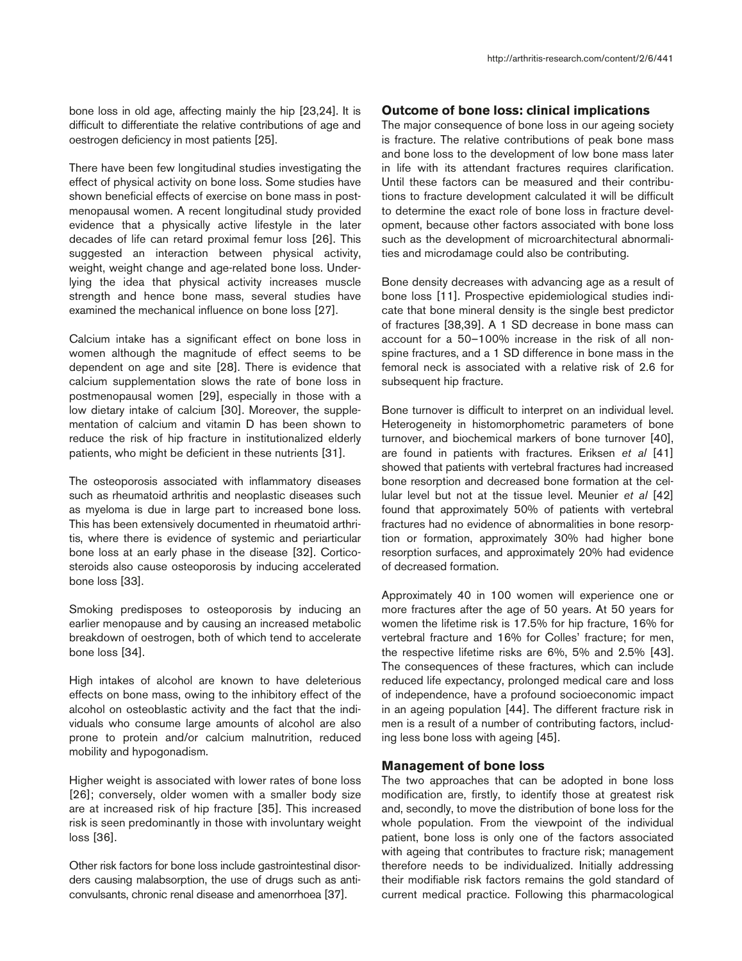bone loss in old age, affecting mainly the hip [23,24]. It is difficult to differentiate the relative contributions of age and oestrogen deficiency in most patients [25].

There have been few longitudinal studies investigating the effect of physical activity on bone loss. Some studies have shown beneficial effects of exercise on bone mass in postmenopausal women. A recent longitudinal study provided evidence that a physically active lifestyle in the later decades of life can retard proximal femur loss [26]. This suggested an interaction between physical activity, weight, weight change and age-related bone loss. Underlying the idea that physical activity increases muscle strength and hence bone mass, several studies have examined the mechanical influence on bone loss [27].

Calcium intake has a significant effect on bone loss in women although the magnitude of effect seems to be dependent on age and site [28]. There is evidence that calcium supplementation slows the rate of bone loss in postmenopausal women [29], especially in those with a low dietary intake of calcium [30]. Moreover, the supplementation of calcium and vitamin D has been shown to reduce the risk of hip fracture in institutionalized elderly patients, who might be deficient in these nutrients [31].

The osteoporosis associated with inflammatory diseases such as rheumatoid arthritis and neoplastic diseases such as myeloma is due in large part to increased bone loss. This has been extensively documented in rheumatoid arthritis, where there is evidence of systemic and periarticular bone loss at an early phase in the disease [32]. Corticosteroids also cause osteoporosis by inducing accelerated bone loss [33].

Smoking predisposes to osteoporosis by inducing an earlier menopause and by causing an increased metabolic breakdown of oestrogen, both of which tend to accelerate bone loss [34].

High intakes of alcohol are known to have deleterious effects on bone mass, owing to the inhibitory effect of the alcohol on osteoblastic activity and the fact that the individuals who consume large amounts of alcohol are also prone to protein and/or calcium malnutrition, reduced mobility and hypogonadism.

Higher weight is associated with lower rates of bone loss [26]; conversely, older women with a smaller body size are at increased risk of hip fracture [35]. This increased risk is seen predominantly in those with involuntary weight loss [36].

Other risk factors for bone loss include gastrointestinal disorders causing malabsorption, the use of drugs such as anticonvulsants, chronic renal disease and amenorrhoea [37].

## **Outcome of bone loss: clinical implications**

The major consequence of bone loss in our ageing society is fracture. The relative contributions of peak bone mass and bone loss to the development of low bone mass later in life with its attendant fractures requires clarification. Until these factors can be measured and their contributions to fracture development calculated it will be difficult to determine the exact role of bone loss in fracture development, because other factors associated with bone loss such as the development of microarchitectural abnormalities and microdamage could also be contributing.

Bone density decreases with advancing age as a result of bone loss [11]. Prospective epidemiological studies indicate that bone mineral density is the single best predictor of fractures [38,39]. A 1 SD decrease in bone mass can account for a 50–100% increase in the risk of all nonspine fractures, and a 1 SD difference in bone mass in the femoral neck is associated with a relative risk of 2.6 for subsequent hip fracture.

Bone turnover is difficult to interpret on an individual level. Heterogeneity in histomorphometric parameters of bone turnover, and biochemical markers of bone turnover [40], are found in patients with fractures. Eriksen *et al* [41] showed that patients with vertebral fractures had increased bone resorption and decreased bone formation at the cellular level but not at the tissue level. Meunier *et al* [42] found that approximately 50% of patients with vertebral fractures had no evidence of abnormalities in bone resorption or formation, approximately 30% had higher bone resorption surfaces, and approximately 20% had evidence of decreased formation.

Approximately 40 in 100 women will experience one or more fractures after the age of 50 years. At 50 years for women the lifetime risk is 17.5% for hip fracture, 16% for vertebral fracture and 16% for Colles' fracture; for men, the respective lifetime risks are 6%, 5% and 2.5% [43]. The consequences of these fractures, which can include reduced life expectancy, prolonged medical care and loss of independence, have a profound socioeconomic impact in an ageing population [44]. The different fracture risk in men is a result of a number of contributing factors, including less bone loss with ageing [45].

## **Management of bone loss**

The two approaches that can be adopted in bone loss modification are, firstly, to identify those at greatest risk and, secondly, to move the distribution of bone loss for the whole population. From the viewpoint of the individual patient, bone loss is only one of the factors associated with ageing that contributes to fracture risk; management therefore needs to be individualized. Initially addressing their modifiable risk factors remains the gold standard of current medical practice. Following this pharmacological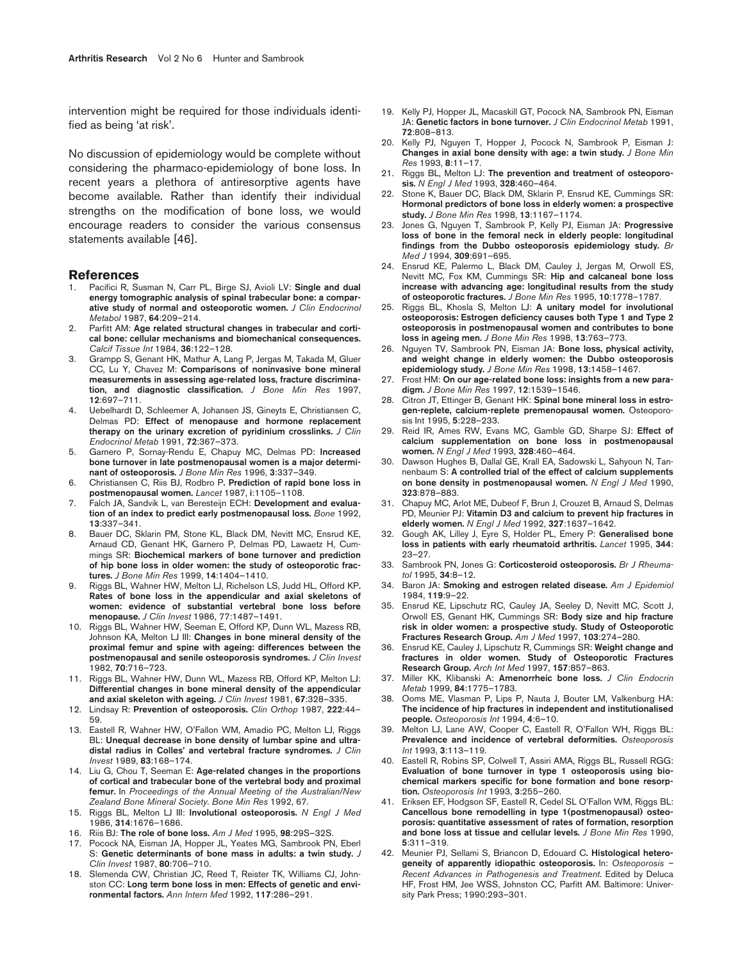intervention might be required for those individuals identified as being 'at risk'.

No discussion of epidemiology would be complete without considering the pharmaco-epidemiology of bone loss. In recent years a plethora of antiresorptive agents have become available. Rather than identify their individual strengths on the modification of bone loss, we would encourage readers to consider the various consensus statements available [46].

#### **References**

- 1. Pacifici R, Susman N, Carr PL, Birge SJ, Avioli LV: **Single and dual energy tomographic analysis of spinal trabecular bone: a comparative study of normal and osteoporotic women.** *J Clin Endocrinol Metabol* 1987, **64**:209–214.
- 2. Parfitt AM: **Age related structural changes in trabecular and cortical bone: cellular mechanisms and biomechanical consequences.** *Calcif Tissue Int* 1984, **36**:122–128.
- 3. Grampp S, Genant HK, Mathur A, Lang P, Jergas M, Takada M, Gluer CC, Lu Y, Chavez M: **Comparisons of noninvasive bone mineral measurements in assessing age-related loss, fracture discrimination, and diagnostic classification.** *J Bone Min Res* 1997, **12**:697–711.
- 4. Uebelhardt D, Schleemer A, Johansen JS, Gineyts E, Christiansen C, Delmas PD: **Effect of menopause and hormone replacement therapy on the urinary excretion of pyridinium crosslinks.** *J Clin Endocrinol Metab* 1991, **72**:367–373.
- 5. Garnero P, Sornay-Rendu E, Chapuy MC, Delmas PD: **Increased bone turnover in late postmenopausal women is a major determinant of osteoporosis.** *J Bone Min Res* 1996, **3**:337–349.
- 6. Christiansen C, Riis BJ, Rodbro P**. Prediction of rapid bone loss in postmenopausal women.** *Lancet* 1987, **i**:1105–1108.
- 7. Falch JA, Sandvik L, van Beresteijn ECH: **Development and evaluation of an index to predict early postmenopausal loss.** *Bone* 1992, **13**:337–341.
- Bauer DC, Sklarin PM, Stone KL, Black DM, Nevitt MC, Ensrud KE, Arnaud CD, Genant HK, Garnero P, Delmas PD, Lawaetz H, Cummings SR: **Biochemical markers of bone turnover and prediction of hip bone loss in older women: the study of osteoporotic fractures.** *J Bone Min Res* 1999, **14**:1404–1410.
- 9. Riggs BL, Wahner HW, Melton LJ, Richelson LS, Judd HL, Offord KP**. Rates of bone loss in the appendicular and axial skeletons of women: evidence of substantial vertebral bone loss before menopause.** *J Clin Invest* 1986, 77:1487–1491.
- 10. Riggs BL, Wahner HW, Seeman E, Offord KP, Dunn WL, Mazess RB, Johnson KA, Melton LJ III: **Changes in bone mineral density of the proximal femur and spine with ageing: differences between the postmenopausal and senile osteoporosis syndromes.** *J Clin Invest* 1982, **70**:716–723.
- 11. Riggs BL, Wahner HW, Dunn WL, Mazess RB, Offord KP, Melton LJ: **Differential changes in bone mineral density of the appendicular and axial skeleton with ageing.** *J Clin Invest* 1981, **67**:328–335.
- 12. Lindsay R: **Prevention of osteoporosis.** *Clin Orthop* 1987, **222**:44– 59.
- 13. Eastell R, Wahner HW, O'Fallon WM, Amadio PC, Melton LJ, Riggs BL: **Unequal decrease in bone density of lumbar spine and ultradistal radius in Colles' and vertebral fracture syndromes.** *J Clin Invest* 1989, **83**:168–174.
- 14. Liu G, Chou T, Seeman E: **Age-related changes in the proportions of cortical and trabecular bone of the vertebral body and proximal femur.** In *Proceedings of the Annual Meeting of the Australian/New Zealand Bone Mineral Society. Bone Min Res* 1992, 67.
- 15. Riggs BL, Melton LJ III: **Involutional osteoporosis.** *N Engl J Med* 1986, **314**:1676–1686.
- 16. Riis BJ: **The role of bone loss.** *Am J Med* 1995, **98**:29S–32S.
- 17. Pocock NA, Eisman JA, Hopper JL, Yeates MG, Sambrook PN, Eberl S: **Genetic determinants of bone mass in adults: a twin study.** *J Clin Invest* 1987, **80**:706–710.
- 18. Slemenda CW, Christian JC, Reed T, Reister TK, Williams CJ, Johnston CC: **Long term bone loss in men: Effects of genetic and environmental factors.** *Ann Intern Med* 1992, **117**:286–291.
- 19. Kelly PJ, Hopper JL, Macaskill GT, Pocock NA, Sambrook PN, Eisman JA: **Genetic factors in bone turnover.** *J Clin Endocrinol Metab* 1991, **72**:808–813.
- 20. Kelly PJ, Nguyen T, Hopper J, Pocock N, Sambrook P, Eisman J: **Changes in axial bone density with age: a twin study.** *J Bone Min Res* 1993, **8**:11–17.
- 21. Riggs BL, Melton LJ: The prevention and treatment of osteoporo**sis.** *N Engl J Med* 1993, **328**:460–464.
- 22. Stone K, Bauer DC, Black DM, Sklarin P, Ensrud KE, Cummings SR: **Hormonal predictors of bone loss in elderly women: a prospective study.** *J Bone Min Res* 1998, **13**:1167–1174.
- 23. Jones G, Nguyen T, Sambrook P, Kelly PJ, Eisman JA: **Progressive loss of bone in the femoral neck in elderly people: longitudinal findings from the Dubbo osteoporosis epidemiology study.** *Br Med J* 1994, **309**:691–695.
- 24. Ensrud KE, Palermo L, Black DM, Cauley J, Jergas M, Orwoll ES, Nevitt MC, Fox KM, Cummings SR: **Hip and calcaneal bone loss increase with advancing age: longitudinal results from the study of osteoporotic fractures.** *J Bone Min Res* 1995, **10**:1778–1787.
- 25. Riggs BL, Khosla S, Melton LJ: **A unitary model for involutional osteoporosis: Estrogen deficiency causes both Type 1 and Type 2 osteoporosis in postmenopausal women and contributes to bone loss in ageing men.** *J Bone Min Res* 1998, **13**:763–773.
- 26. Nguyen TV, Sambrook PN, Eisman JA: **Bone loss, physical activity, and weight change in elderly women: the Dubbo osteoporosis epidemiology study.** *J Bone Min Res* 1998, **13**:1458–1467.
- 27. Frost HM: **On our age-related bone loss: insights from a new paradigm.** *J Bone Min Res* 1997, **12**:1539–1546.
- 28. Citron JT, Ettinger B, Genant HK: **Spinal bone mineral loss in estrogen-replete, calcium-replete premenopausal women.** Osteoporosis Int 1995, **5**:228–233.
- 29. Reid IR, Ames RW, Evans MC, Gamble GD, Sharpe SJ: **Effect of calcium supplementation on bone loss in postmenopausal women.** *N Engl J Med* 1993, **328**:460–464.
- 30. Dawson Hughes B, Dallal GE, Krall EA, Sadowski L, Sahyoun N, Tannenbaum S: **A controlled trial of the effect of calcium supplements on bone density in postmenopausal women.** *N Engl J Med* 1990, **323**:878–883.
- 31. Chapuy MC, Arlot ME, Dubeof F, Brun J, Crouzet B, Arnaud S, Delmas PD, Meunier PJ: **Vitamin D3 and calcium to prevent hip fractures in elderly women.** *N Engl J Med* 1992, **327**:1637–1642.
- 32. Gough AK, Lilley J, Eyre S, Holder PL, Emery P: **Generalised bone loss in patients with early rheumatoid arthritis.** *Lancet* 1995, **344**: 23–27.
- 33. Sambrook PN, Jones G: **Corticosteroid osteoporosis.** *Br J Rheumatol* 1995, **34**:8–12.
- 34. Baron JA: **Smoking and estrogen related disease.** *Am J Epidemiol* 1984, **119**:9–22.
- 35. Ensrud KE, Lipschutz RC, Cauley JA, Seeley D, Nevitt MC, Scott J, Orwoll ES, Genant HK, Cummings SR: **Body size and hip fracture risk in older women: a prospective study. Study of Osteoporotic Fractures Research Group.** *Am J Med* 1997, **103**:274–280.
- 36. Ensrud KE, Cauley J, Lipschutz R, Cummings SR: **Weight change and fractures in older women. Study of Osteoporotic Fractures Research Group.** *Arch Int Med* 1997, **157**:857–863.
- 37. Miller KK, Klibanski A: **Amenorrheic bone loss.** *J Clin Endocrin Metab* 1999, **84**:1775–1783.
- 38. Ooms ME, Vlasman P, Lips P, Nauta J, Bouter LM, Valkenburg HA: **The incidence of hip fractures in independent and institutionalised people.** *Osteoporosis Int* 1994, **4**:6–10.
- 39. Melton LJ, Lane AW, Cooper C, Eastell R, O'Fallon WH, Riggs BL: **Prevalence and incidence of vertebral deformities.** *Osteoporosis Int* 1993, **3**:113–119.
- 40. Eastell R, Robins SP, Colwell T, Assiri AMA, Riggs BL, Russell RGG: **Evaluation of bone turnover in type 1 osteoporosis using biochemical markers specific for bone formation and bone resorption.** *Osteoporosis Int* 1993, **3**:255–260.
- 41. Eriksen EF, Hodgson SF, Eastell R, Cedel SL O'Fallon WM, Riggs BL: **Cancellous bone remodelling in type 1(postmenopausal) osteoporosis: quantitative assessment of rates of formation, resorption and bone loss at tissue and cellular levels.** *J Bone Min Res* 1990, **5**:311–319.
- 42. Meunier PJ, Sellami S, Briancon D, Edouard C**. Histological heterogeneity of apparently idiopathic osteoporosis.** In: *Osteoporosis – Recent Advances in Pathogenesis and Treatment*. Edited by Deluca HF, Frost HM, Jee WSS, Johnston CC, Parfitt AM. Baltimore: University Park Press; 1990:293–301.